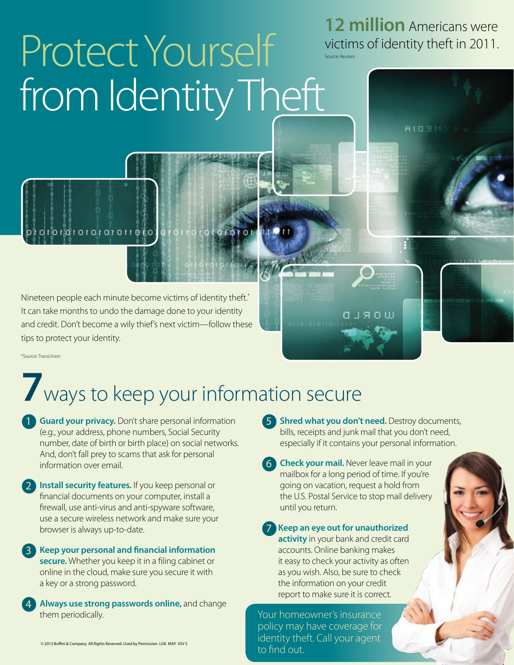# Protect Yourself from Identity Theft

**12 million** Americans were victims of identity theft in 2011.

**AIOBM** 

Source: Reuters

Nineteen people each minute become victims of identity theft.\* It can take months to undo the damage done to your identity and credit. Don't become a wily thief's next victim—follow these tips to protect your identity.

011010100

\*Source: TransUnion

### **7**ways to keep your information secure

**1** Guard your privacy. Don't share personal information (e.g., your address, phone numbers, Social Security number, date of birth or birth place) on social networks. And, don't fall prey to scams that ask for personal information over email.

2 **Install security features.** If you keep personal or financial documents on your computer, install a firewall, use anti-virus and anti-spyware software, use a secure wireless network and make sure your browser is always up-to-date.

3 **Keep your personal and financial information secure.** Whether you keep it in a filing cabinet or online in the cloud, make sure you secure it with a key or a strong password.

4 **Always use strong passwords online,** and change them periodically.

5 **Shred what you don't need.** Destroy documents, bills, receipts and junk mail that you don't need, especially if it contains your personal information.

**WORLD** 

6 **Check your mail.** Never leave mail in your mailbox for a long period of time. If you're going on vacation, request a hold from the U.S. Postal Service to stop mail delivery until you return.

7 **Keep an eye out for unauthorized activity** in your bank and credit card accounts. Online banking makes it easy to check your activity as often as you wish. Also, be sure to check the information on your credit report to make sure it is correct.

Your homeowner's insurance policy may have coverage for identity theft. Call your agent to find out.